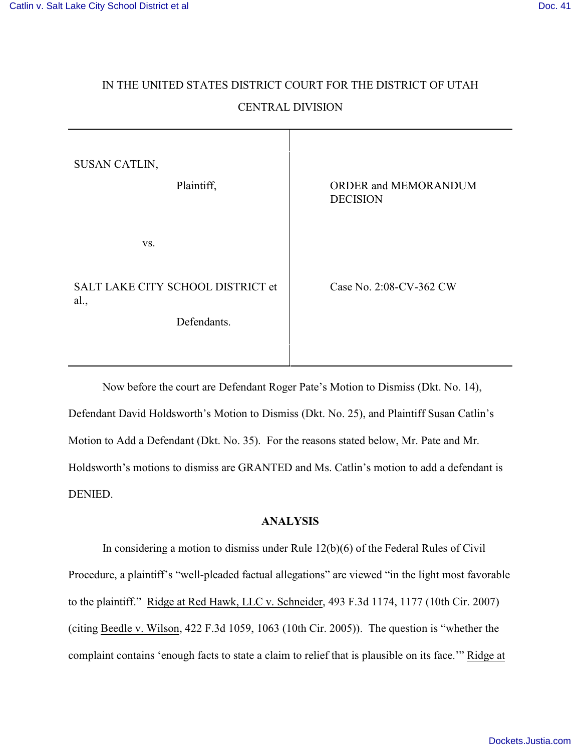## IN THE UNITED STATES DISTRICT COURT FOR THE DISTRICT OF UTAH CENTRAL DIVISION

| SUSAN CATLIN,<br>Plaintiff,                              | ORDER and MEMORANDUM<br><b>DECISION</b> |
|----------------------------------------------------------|-----------------------------------------|
| VS.                                                      |                                         |
| SALT LAKE CITY SCHOOL DISTRICT et<br>al.,<br>Defendants. | Case No. 2:08-CV-362 CW                 |
|                                                          |                                         |

Now before the court are Defendant Roger Pate's Motion to Dismiss (Dkt. No. 14), Defendant David Holdsworth's Motion to Dismiss (Dkt. No. 25), and Plaintiff Susan Catlin's Motion to Add a Defendant (Dkt. No. 35). For the reasons stated below, Mr. Pate and Mr. Holdsworth's motions to dismiss are GRANTED and Ms. Catlin's motion to add a defendant is DENIED.

## **ANALYSIS**

In considering a motion to dismiss under Rule 12(b)(6) of the Federal Rules of Civil Procedure, a plaintiff's "well-pleaded factual allegations" are viewed "in the light most favorable to the plaintiff." Ridge at Red Hawk, LLC v. Schneider, 493 F.3d 1174, 1177 (10th Cir. 2007) (citing Beedle v. Wilson, 422 F.3d 1059, 1063 (10th Cir. 2005)). The question is "whether the complaint contains 'enough facts to state a claim to relief that is plausible on its face.'" Ridge at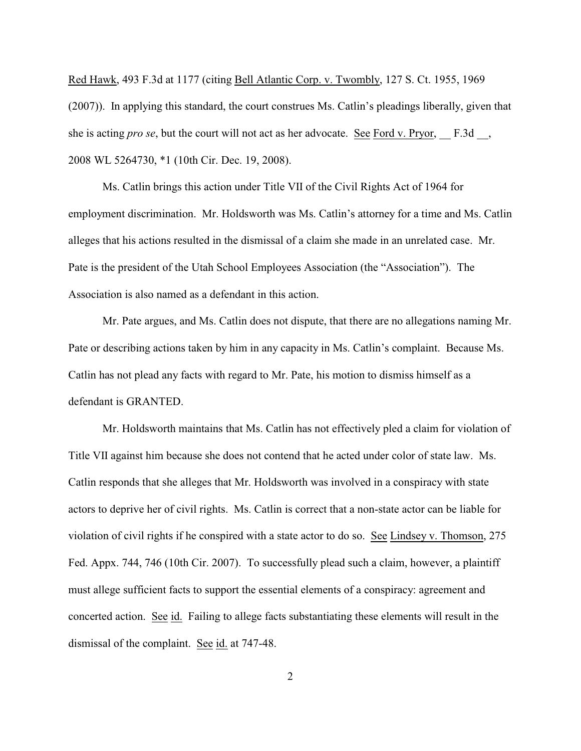Red Hawk, 493 F.3d at 1177 (citing Bell Atlantic Corp. v. Twombly, 127 S. Ct. 1955, 1969 (2007)). In applying this standard, the court construes Ms. Catlin's pleadings liberally, given that she is acting *pro se*, but the court will not act as her advocate. See Ford v. Pryor, F.3d., 2008 WL 5264730, \*1 (10th Cir. Dec. 19, 2008).

Ms. Catlin brings this action under Title VII of the Civil Rights Act of 1964 for employment discrimination. Mr. Holdsworth was Ms. Catlin's attorney for a time and Ms. Catlin alleges that his actions resulted in the dismissal of a claim she made in an unrelated case. Mr. Pate is the president of the Utah School Employees Association (the "Association"). The Association is also named as a defendant in this action.

Mr. Pate argues, and Ms. Catlin does not dispute, that there are no allegations naming Mr. Pate or describing actions taken by him in any capacity in Ms. Catlin's complaint. Because Ms. Catlin has not plead any facts with regard to Mr. Pate, his motion to dismiss himself as a defendant is GRANTED.

Mr. Holdsworth maintains that Ms. Catlin has not effectively pled a claim for violation of Title VII against him because she does not contend that he acted under color of state law. Ms. Catlin responds that she alleges that Mr. Holdsworth was involved in a conspiracy with state actors to deprive her of civil rights. Ms. Catlin is correct that a non-state actor can be liable for violation of civil rights if he conspired with a state actor to do so. See Lindsey v. Thomson, 275 Fed. Appx. 744, 746 (10th Cir. 2007). To successfully plead such a claim, however, a plaintiff must allege sufficient facts to support the essential elements of a conspiracy: agreement and concerted action. See id. Failing to allege facts substantiating these elements will result in the dismissal of the complaint. See id. at 747-48.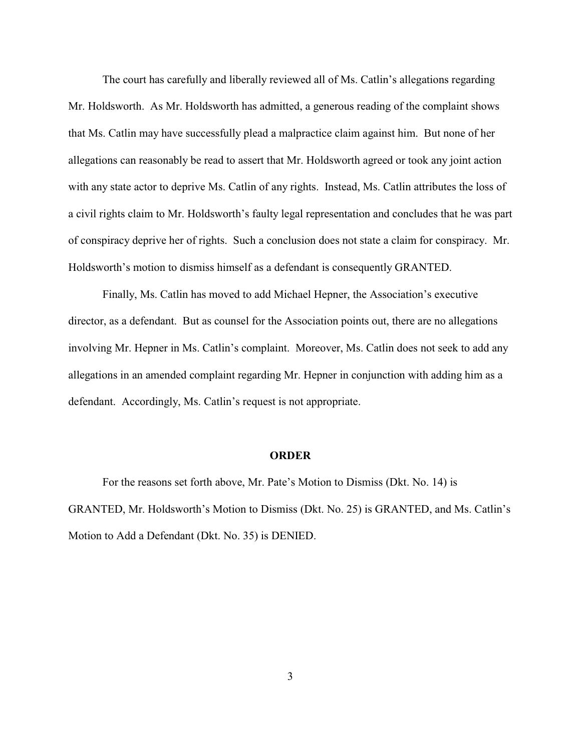The court has carefully and liberally reviewed all of Ms. Catlin's allegations regarding Mr. Holdsworth. As Mr. Holdsworth has admitted, a generous reading of the complaint shows that Ms. Catlin may have successfully plead a malpractice claim against him. But none of her allegations can reasonably be read to assert that Mr. Holdsworth agreed or took any joint action with any state actor to deprive Ms. Catlin of any rights. Instead, Ms. Catlin attributes the loss of a civil rights claim to Mr. Holdsworth's faulty legal representation and concludes that he was part of conspiracy deprive her of rights. Such a conclusion does not state a claim for conspiracy. Mr. Holdsworth's motion to dismiss himself as a defendant is consequently GRANTED.

Finally, Ms. Catlin has moved to add Michael Hepner, the Association's executive director, as a defendant. But as counsel for the Association points out, there are no allegations involving Mr. Hepner in Ms. Catlin's complaint. Moreover, Ms. Catlin does not seek to add any allegations in an amended complaint regarding Mr. Hepner in conjunction with adding him as a defendant. Accordingly, Ms. Catlin's request is not appropriate.

## **ORDER**

For the reasons set forth above, Mr. Pate's Motion to Dismiss (Dkt. No. 14) is GRANTED, Mr. Holdsworth's Motion to Dismiss (Dkt. No. 25) is GRANTED, and Ms. Catlin's Motion to Add a Defendant (Dkt. No. 35) is DENIED.